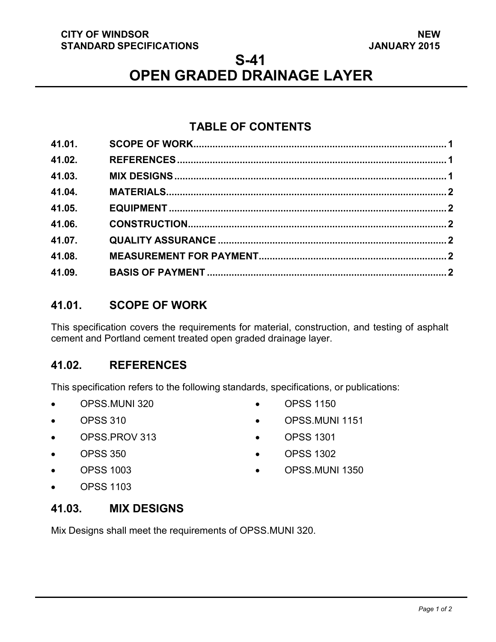### **CITY OF WINDSOR STANDARD SPECIFICATIONS**

### **S-41**

# **OPEN GRADED DRAINAGE LAYER**

## **TABLE OF CONTENTS**

| 41.01. |  |
|--------|--|
| 41.02. |  |
| 41.03. |  |
| 41.04. |  |
| 41.05. |  |
| 41.06. |  |
| 41.07. |  |
| 41.08. |  |
| 41.09. |  |
|        |  |

### <span id="page-0-2"></span>**41.01. SCOPE OF WORK**

This specification covers the requirements for material, construction, and testing of asphalt cement and Portland cement treated open graded drainage layer.

### <span id="page-0-0"></span>**41.02. REFERENCES**

This specification refers to the following standards, specifications, or publications:

- OPSS.MUNI 320
- OPSS 310
- OPSS.PROV 313
- OPSS 350
- OPSS 1003

• OPSS.MUNI 1151

• OPSS 1150

- OPSS 1301
- OPSS 1302
- OPSS.MUNI 1350

• OPSS 1103

### <span id="page-0-1"></span>**41.03. MIX DESIGNS**

Mix Designs shall meet the requirements of OPSS.MUNI 320.